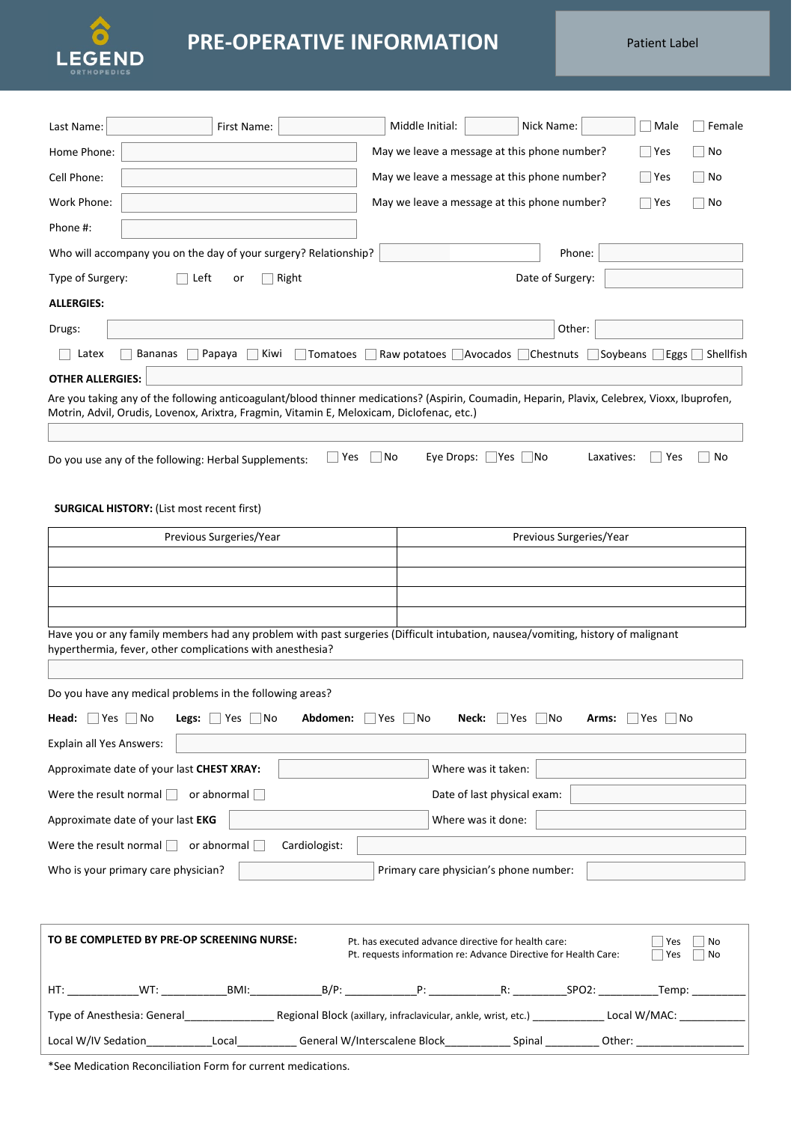

## **PRE-OPERATIVE INFORMATION**

Patient Label

| First Name:<br>Last Name:                                                                                                       | Middle Initial:<br>Nick Name:<br>Male<br>Female                                                                                                  |
|---------------------------------------------------------------------------------------------------------------------------------|--------------------------------------------------------------------------------------------------------------------------------------------------|
| Home Phone:                                                                                                                     | May we leave a message at this phone number?<br>$\Box$ Yes<br>No                                                                                 |
| Cell Phone:                                                                                                                     | May we leave a message at this phone number?<br>  Yes<br>No                                                                                      |
| Work Phone:                                                                                                                     | May we leave a message at this phone number?<br>$\Box$ Yes<br>No                                                                                 |
| Phone #:                                                                                                                        |                                                                                                                                                  |
| Who will accompany you on the day of your surgery? Relationship?                                                                | Phone:                                                                                                                                           |
| Type of Surgery:<br>Left<br>Right<br>or                                                                                         | Date of Surgery:                                                                                                                                 |
| <b>ALLERGIES:</b>                                                                                                               |                                                                                                                                                  |
| Drugs:                                                                                                                          | Other:                                                                                                                                           |
| Latex<br>Bananas<br>Papaya<br>Kiwi<br>Tomatoes                                                                                  | Raw potatoes Avocados Chestnuts<br>Soybeans<br>$\Box$ Eggs $\Box$ Shellfish                                                                      |
| <b>OTHER ALLERGIES:</b>                                                                                                         |                                                                                                                                                  |
| Motrin, Advil, Orudis, Lovenox, Arixtra, Fragmin, Vitamin E, Meloxicam, Diclofenac, etc.)                                       | Are you taking any of the following anticoagulant/blood thinner medications? (Aspirin, Coumadin, Heparin, Plavix, Celebrex, Vioxx, Ibuprofen,    |
|                                                                                                                                 |                                                                                                                                                  |
| $\sqsupset$ Yes<br>Do you use any of the following: Herbal Supplements:                                                         | Eye Drops: $\Box$ Yes $\Box$ No<br> No<br>Laxatives:<br>Yes<br>No                                                                                |
|                                                                                                                                 |                                                                                                                                                  |
| <b>SURGICAL HISTORY: (List most recent first)</b>                                                                               |                                                                                                                                                  |
| Previous Surgeries/Year                                                                                                         | Previous Surgeries/Year                                                                                                                          |
|                                                                                                                                 |                                                                                                                                                  |
|                                                                                                                                 |                                                                                                                                                  |
|                                                                                                                                 |                                                                                                                                                  |
| Have you or any family members had any problem with past surgeries (Difficult intubation, nausea/vomiting, history of malignant |                                                                                                                                                  |
| hyperthermia, fever, other complications with anesthesia?                                                                       |                                                                                                                                                  |
| Do you have any medical problems in the following areas?                                                                        |                                                                                                                                                  |
| <b>Head:</b> $\vert$ Yes $\vert$ No<br><b>Legs:</b> $\vert$ Yes $\vert$ No<br>Abdomen:                                          | ∐Yes ∣<br>_ No<br>Neck:<br>$Yes$ No<br>$ Yes $ No<br>Arms:                                                                                       |
| Explain all Yes Answers:                                                                                                        |                                                                                                                                                  |
| Approximate date of your last CHEST XRAY:                                                                                       | Where was it taken:                                                                                                                              |
| Were the result normal $\Box$ or abnormal $\Box$                                                                                | Date of last physical exam:                                                                                                                      |
| Approximate date of your last EKG                                                                                               | Where was it done:                                                                                                                               |
| Were the result normal $\Box$ or abnormal $\Box$<br>Cardiologist:                                                               |                                                                                                                                                  |
| Who is your primary care physician?                                                                                             | Primary care physician's phone number:                                                                                                           |
|                                                                                                                                 |                                                                                                                                                  |
|                                                                                                                                 |                                                                                                                                                  |
| TO BE COMPLETED BY PRE-OP SCREENING NURSE:                                                                                      | Pt. has executed advance directive for health care:<br>Yes<br>No<br>Pt. requests information re: Advance Directive for Health Care:<br>Yes<br>No |
|                                                                                                                                 |                                                                                                                                                  |
|                                                                                                                                 |                                                                                                                                                  |

Local W/IV Sedation\_\_\_\_\_\_\_\_\_\_\_\_\_\_\_Local\_\_\_\_\_\_\_\_\_\_\_\_\_General W/Interscalene Block\_\_\_\_\_\_\_\_\_\_\_\_\_\_Spinal \_\_\_\_\_\_\_\_\_\_\_\_\_Other: \_

\*See Medication Reconciliation Form for current medications.